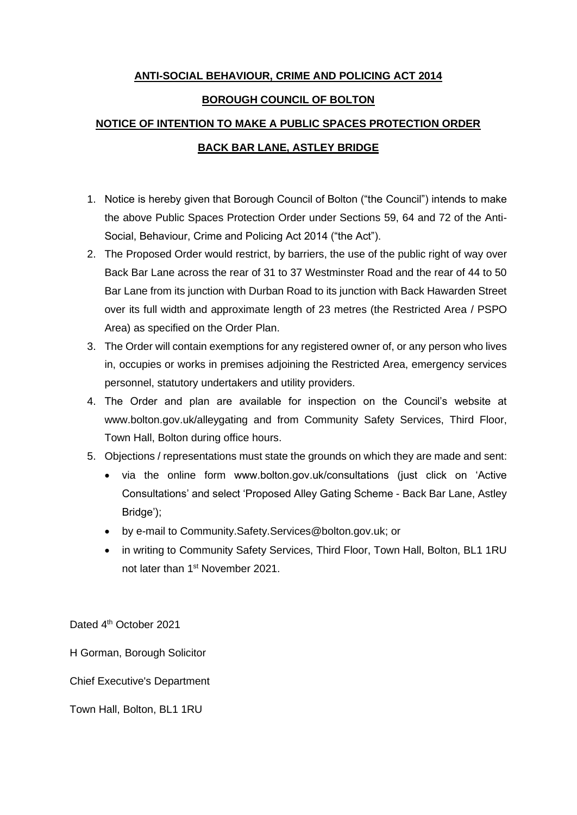## **ANTI-SOCIAL BEHAVIOUR, CRIME AND POLICING ACT 2014**

#### **BOROUGH COUNCIL OF BOLTON**

# **NOTICE OF INTENTION TO MAKE A PUBLIC SPACES PROTECTION ORDER BACK BAR LANE, ASTLEY BRIDGE**

- 1. Notice is hereby given that Borough Council of Bolton ("the Council") intends to make the above Public Spaces Protection Order under Sections 59, 64 and 72 of the Anti-Social, Behaviour, Crime and Policing Act 2014 ("the Act").
- 2. The Proposed Order would restrict, by barriers, the use of the public right of way over Back Bar Lane across the rear of 31 to 37 Westminster Road and the rear of 44 to 50 Bar Lane from its junction with Durban Road to its junction with Back Hawarden Street over its full width and approximate length of 23 metres (the Restricted Area / PSPO Area) as specified on the Order Plan.
- 3. The Order will contain exemptions for any registered owner of, or any person who lives in, occupies or works in premises adjoining the Restricted Area, emergency services personnel, statutory undertakers and utility providers.
- 4. The Order and plan are available for inspection on the Council's website at www.bolton.gov.uk/alleygating and from Community Safety Services, Third Floor, Town Hall, Bolton during office hours.
- 5. Objections / representations must state the grounds on which they are made and sent:
	- via the online form www.bolton.gov.uk/consultations (just click on 'Active Consultations' and select 'Proposed Alley Gating Scheme - Back Bar Lane, Astley Bridge');
	- by e-mail to Community.Safety.Services@bolton.gov.uk; or
	- in writing to Community Safety Services, Third Floor, Town Hall, Bolton, BL1 1RU not later than 1<sup>st</sup> November 2021.

Dated 4<sup>th</sup> October 2021

H Gorman, Borough Solicitor

Chief Executive's Department

Town Hall, Bolton, BL1 1RU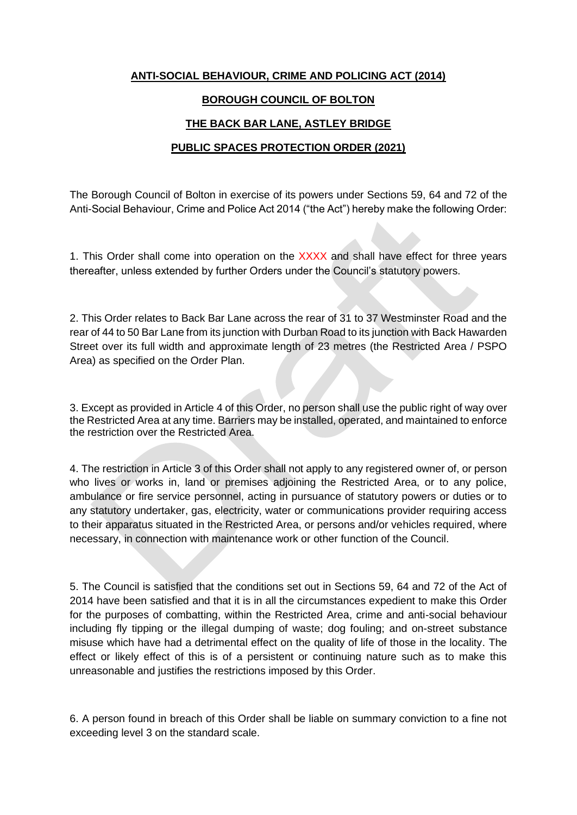#### **ANTI-SOCIAL BEHAVIOUR, CRIME AND POLICING ACT (2014)**

#### **BOROUGH COUNCIL OF BOLTON**

## **THE BACK BAR LANE, ASTLEY BRIDGE**

#### **PUBLIC SPACES PROTECTION ORDER (2021)**

The Borough Council of Bolton in exercise of its powers under Sections 59, 64 and 72 of the Anti-Social Behaviour, Crime and Police Act 2014 ("the Act") hereby make the following Order:

1. This Order shall come into operation on the XXXX and shall have effect for three years thereafter, unless extended by further Orders under the Council's statutory powers.

2. This Order relates to Back Bar Lane across the rear of 31 to 37 Westminster Road and the rear of 44 to 50 Bar Lane from its junction with Durban Road to its junction with Back Hawarden Street over its full width and approximate length of 23 metres (the Restricted Area / PSPO Area) as specified on the Order Plan.

3. Except as provided in Article 4 of this Order, no person shall use the public right of way over the Restricted Area at any time. Barriers may be installed, operated, and maintained to enforce the restriction over the Restricted Area.

4. The restriction in Article 3 of this Order shall not apply to any registered owner of, or person who lives or works in, land or premises adjoining the Restricted Area, or to any police, ambulance or fire service personnel, acting in pursuance of statutory powers or duties or to any statutory undertaker, gas, electricity, water or communications provider requiring access to their apparatus situated in the Restricted Area, or persons and/or vehicles required, where necessary, in connection with maintenance work or other function of the Council.

5. The Council is satisfied that the conditions set out in Sections 59, 64 and 72 of the Act of 2014 have been satisfied and that it is in all the circumstances expedient to make this Order for the purposes of combatting, within the Restricted Area, crime and anti-social behaviour including fly tipping or the illegal dumping of waste; dog fouling; and on-street substance misuse which have had a detrimental effect on the quality of life of those in the locality. The effect or likely effect of this is of a persistent or continuing nature such as to make this unreasonable and justifies the restrictions imposed by this Order.

6. A person found in breach of this Order shall be liable on summary conviction to a fine not exceeding level 3 on the standard scale.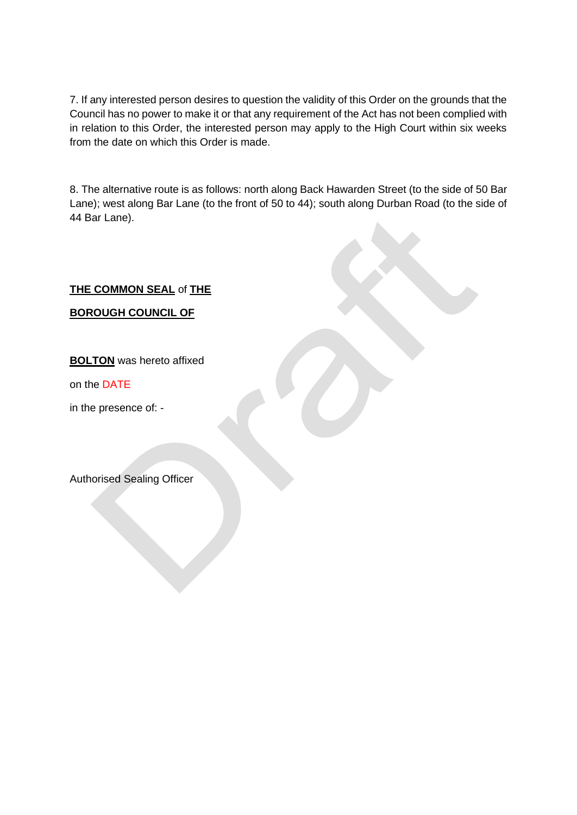7. If any interested person desires to question the validity of this Order on the grounds that the Council has no power to make it or that any requirement of the Act has not been complied with in relation to this Order, the interested person may apply to the High Court within six weeks from the date on which this Order is made.

8. The alternative route is as follows: north along Back Hawarden Street (to the side of 50 Bar Lane); west along Bar Lane (to the front of 50 to 44); south along Durban Road (to the side of 44 Bar Lane).

# **THE COMMON SEAL** of **THE**

**BOROUGH COUNCIL OF**

**BOLTON** was hereto affixed

on the DATE

in the presence of: -

Authorised Sealing Officer